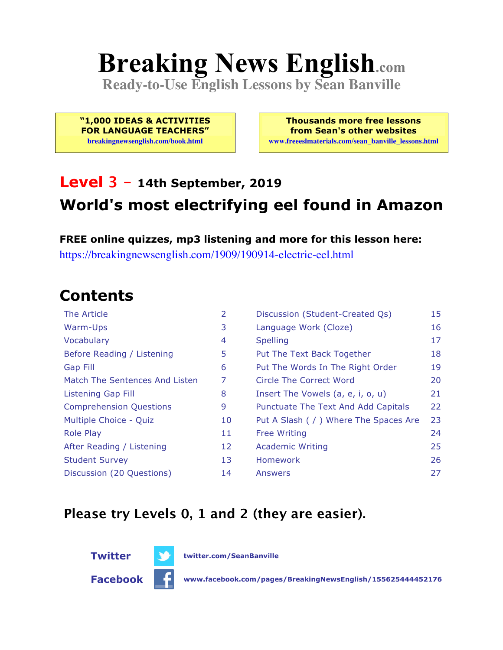# **Breaking News English.com**

**Ready-to-Use English Lessons by Sean Banville**

**"1,000 IDEAS & ACTIVITIES FOR LANGUAGE TEACHERS"**

**breakingnewsenglish.com/book.html**

**Thousands more free lessons from Sean's other websites www.freeeslmaterials.com/sean\_banville\_lessons.html**

## **Level 3 - 14th September, 2019 World's most electrifying eel found in Amazon**

**FREE online quizzes, mp3 listening and more for this lesson here:** https://breakingnewsenglish.com/1909/190914-electric-eel.html

### **Contents**

| The Article                    | 2  | Discussion (Student-Created Qs)        | 15 |
|--------------------------------|----|----------------------------------------|----|
| Warm-Ups                       | 3  | Language Work (Cloze)                  | 16 |
| Vocabulary                     | 4  | <b>Spelling</b>                        | 17 |
| Before Reading / Listening     | 5  | Put The Text Back Together             | 18 |
| <b>Gap Fill</b>                | 6  | Put The Words In The Right Order       | 19 |
| Match The Sentences And Listen | 7  | Circle The Correct Word                | 20 |
| Listening Gap Fill             | 8  | Insert The Vowels (a, e, i, o, u)      | 21 |
| <b>Comprehension Questions</b> | 9  | Punctuate The Text And Add Capitals    | 22 |
| Multiple Choice - Quiz         | 10 | Put A Slash ( / ) Where The Spaces Are | 23 |
| <b>Role Play</b>               | 11 | <b>Free Writing</b>                    | 24 |
| After Reading / Listening      | 12 | <b>Academic Writing</b>                | 25 |
| <b>Student Survey</b>          | 13 | Homework                               | 26 |
| Discussion (20 Questions)      | 14 | Answers                                | 27 |

### **Please try Levels 0, 1 and 2 (they are easier).**



**Facebook www.facebook.com/pages/BreakingNewsEnglish/155625444452176**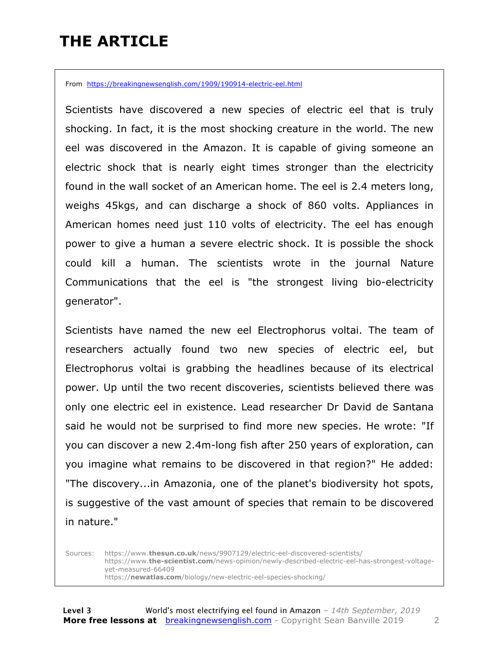## **THE ARTICLE**

From https://breakingnewsenglish.com/1909/190914-electric-eel.html

Scientists have discovered a new species of electric eel that is truly shocking. In fact, it is the most shocking creature in the world. The new eel was discovered in the Amazon. It is capable of giving someone an electric shock that is nearly eight times stronger than the electricity found in the wall socket of an American home. The eel is 2.4 meters long, weighs 45kgs, and can discharge a shock of 860 volts. Appliances in American homes need just 110 volts of electricity. The eel has enough power to give a human a severe electric shock. It is possible the shock could kill a human. The scientists wrote in the journal Nature Communications that the eel is "the strongest living bio-electricity generator".

Scientists have named the new eel Electrophorus voltai. The team of researchers actually found two new species of electric eel, but Electrophorus voltai is grabbing the headlines because of its electrical power. Up until the two recent discoveries, scientists believed there was only one electric eel in existence. Lead researcher Dr David de Santana said he would not be surprised to find more new species. He wrote: "If you can discover a new 2.4m-long fish after 250 years of exploration, can you imagine what remains to be discovered in that region?" He added: "The discovery...in Amazonia, one of the planet's biodiversity hot spots, is suggestive of the vast amount of species that remain to be discovered in nature."

Sources: https://www.**thesun.co.uk**/news/9907129/electric-eel-discovered-scientists/ https://www.**the-scientist.com**/news-opinion/newly-described-electric-eel-has-strongest-voltageyet-measured-66409 https://**newatlas.com**/biology/new-electric-eel-species-shocking/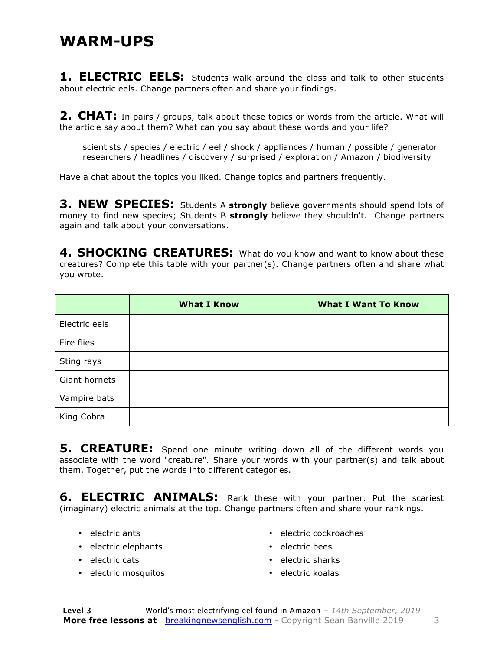### **WARM-UPS**

**1. ELECTRIC EELS:** Students walk around the class and talk to other students about electric eels. Change partners often and share your findings.

**2. CHAT:** In pairs / groups, talk about these topics or words from the article. What will the article say about them? What can you say about these words and your life?

scientists / species / electric / eel / shock / appliances / human / possible / generator researchers / headlines / discovery / surprised / exploration / Amazon / biodiversity

Have a chat about the topics you liked. Change topics and partners frequently.

**3. NEW SPECIES:** Students A **strongly** believe governments should spend lots of money to find new species; Students B **strongly** believe they shouldn't. Change partners again and talk about your conversations.

**4. SHOCKING CREATURES:** What do you know and want to know about these creatures? Complete this table with your partner(s). Change partners often and share what you wrote.

|               | <b>What I Know</b> | <b>What I Want To Know</b> |
|---------------|--------------------|----------------------------|
| Electric eels |                    |                            |
| Fire flies    |                    |                            |
| Sting rays    |                    |                            |
| Giant hornets |                    |                            |
| Vampire bats  |                    |                            |
| King Cobra    |                    |                            |

**5. CREATURE:** Spend one minute writing down all of the different words you associate with the word "creature". Share your words with your partner(s) and talk about them. Together, put the words into different categories.

**6. ELECTRIC ANIMALS:** Rank these with your partner. Put the scariest (imaginary) electric animals at the top. Change partners often and share your rankings.

- electric ants
- electric elephants
- electric cats
- electric mosquitos
- electric cockroaches
- electric bees
- electric sharks
- electric koalas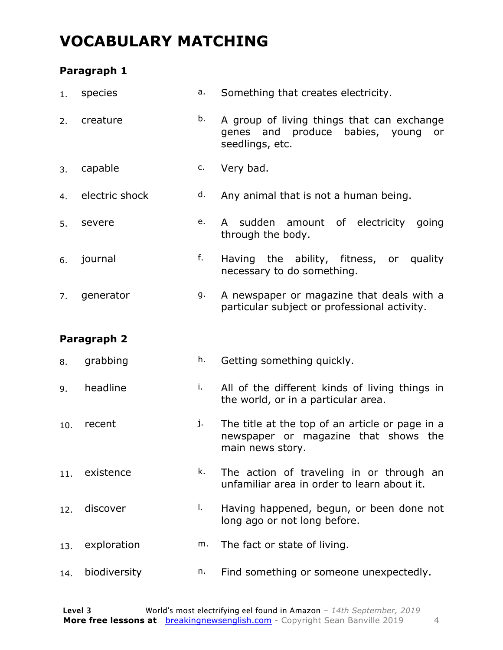### **VOCABULARY MATCHING**

### **Paragraph 1**

| 1.  | species        | а. | Something that creates electricity.                                                                         |  |
|-----|----------------|----|-------------------------------------------------------------------------------------------------------------|--|
| 2.  | creature       | b. | A group of living things that can exchange<br>genes and produce babies, young<br>or<br>seedlings, etc.      |  |
| 3.  | capable        | c. | Very bad.                                                                                                   |  |
| 4.  | electric shock | d. | Any animal that is not a human being.                                                                       |  |
| 5.  | severe         | e. | sudden amount of electricity going<br>A<br>through the body.                                                |  |
| 6.  | journal        | f. | Having the ability, fitness, or quality<br>necessary to do something.                                       |  |
| 7.  | generator      | g. | A newspaper or magazine that deals with a<br>particular subject or professional activity.                   |  |
|     | Paragraph 2    |    |                                                                                                             |  |
| 8.  | grabbing       | h. | Getting something quickly.                                                                                  |  |
| 9.  | headline       | i. | All of the different kinds of living things in<br>the world, or in a particular area.                       |  |
| 10. | recent         | j. | The title at the top of an article or page in a<br>newspaper or magazine that shows the<br>main news story. |  |
| 11. | existence      | k. | The action of traveling in or through an<br>unfamiliar area in order to learn about it.                     |  |
| 12. | discover       | Ι. | Having happened, begun, or been done not<br>long ago or not long before.                                    |  |
| 13. |                | m. |                                                                                                             |  |
|     | exploration    |    | The fact or state of living.                                                                                |  |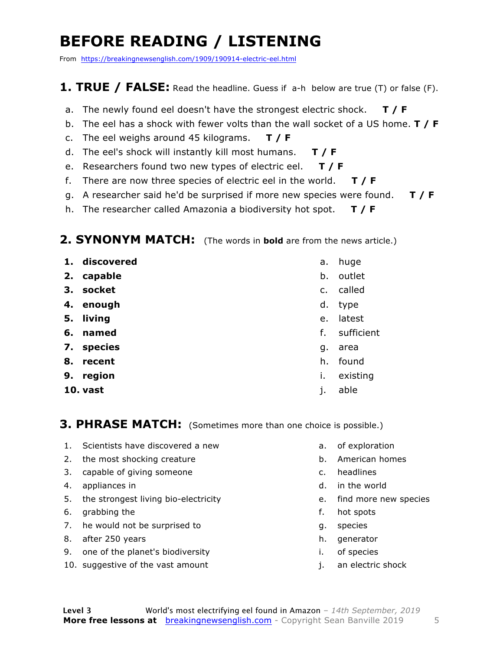## **BEFORE READING / LISTENING**

From https://breakingnewsenglish.com/1909/190914-electric-eel.html

### **1. TRUE / FALSE:** Read the headline. Guess if a-h below are true (T) or false (F).

- a. The newly found eel doesn't have the strongest electric shock. **T / F**
- b. The eel has a shock with fewer volts than the wall socket of a US home. **T / F**
- c. The eel weighs around 45 kilograms. **T / F**
- d. The eel's shock will instantly kill most humans. **T / F**
- e. Researchers found two new types of electric eel. **T / F**
- f. There are now three species of electric eel in the world. **T / F**
- g. A researcher said he'd be surprised if more new species were found. **T / F**
- h. The researcher called Amazonia a biodiversity hot spot. **T / F**

### **2. SYNONYM MATCH:** (The words in **bold** are from the news article.)

- **1. discovered**
- **2. capable**
- **3. socket**
- **4. enough**
- **5. living**
- **6. named**
- **7. species**
- **8. recent**
- **9. region**
- **10. vast**
- a. huge
- b. outlet
- c. called
- d. type
- e. latest
- f. sufficient
- g. area
- h. found
- i. existing
- j. able

**3. PHRASE MATCH:** (Sometimes more than one choice is possible.)

- 1. Scientists have discovered a new
- 2. the most shocking creature
- 3. capable of giving someone
- 4. appliances in
- 5. the strongest living bio-electricity
- 6. grabbing the
- 7. he would not be surprised to
- 8. after 250 years
- 9. one of the planet's biodiversity
- 10. suggestive of the vast amount
- a. of exploration
- b. American homes
- c. headlines
- d. in the world
- e. find more new species
- f. hot spots
- g. species
- h. generator
- i. of species
- j. an electric shock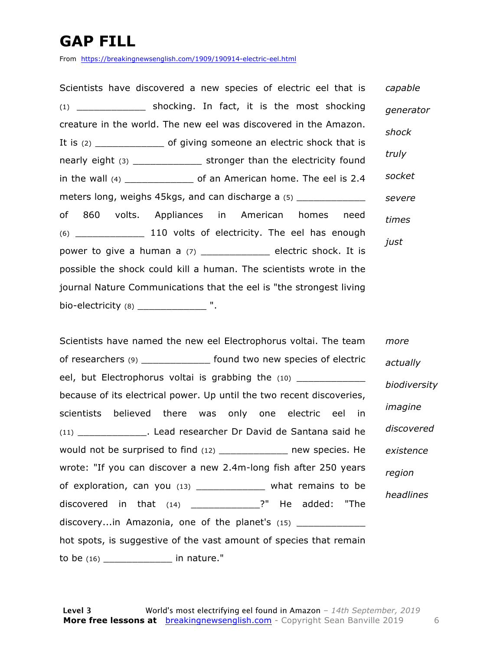## **GAP FILL**

From https://breakingnewsenglish.com/1909/190914-electric-eel.html

Scientists have discovered a new species of electric eel that is (1) \_\_\_\_\_\_\_\_\_\_\_\_ shocking. In fact, it is the most shocking creature in the world. The new eel was discovered in the Amazon. It is (2) \_\_\_\_\_\_\_\_\_\_\_\_\_\_\_\_\_\_ of giving someone an electric shock that is nearly eight (3) \_\_\_\_\_\_\_\_\_\_\_\_ stronger than the electricity found in the wall (4) \_\_\_\_\_\_\_\_\_\_\_\_ of an American home. The eel is 2.4 meters long, weighs 45kgs, and can discharge a (5) of 860 volts. Appliances in American homes need (6) \_\_\_\_\_\_\_\_\_\_\_\_ 110 volts of electricity. The eel has enough power to give a human a (7) \_\_\_\_\_\_\_\_\_\_\_\_\_\_\_\_ electric shock. It is possible the shock could kill a human. The scientists wrote in the journal Nature Communications that the eel is "the strongest living bio-electricity (8) \_\_\_\_\_\_\_\_\_\_\_\_\_\_\_\_ ". *capable generator shock truly socket severe times just*

Scientists have named the new eel Electrophorus voltai. The team of researchers (9) \_\_\_\_\_\_\_\_\_\_\_\_ found two new species of electric eel, but Electrophorus voltai is grabbing the (10) \_\_\_\_\_\_\_\_ because of its electrical power. Up until the two recent discoveries, scientists believed there was only one electric eel in (11) \_\_\_\_\_\_\_\_\_\_\_\_. Lead researcher Dr David de Santana said he would not be surprised to find (12) \_\_\_\_\_\_\_\_\_\_\_\_\_\_\_ new species. He wrote: "If you can discover a new 2.4m-long fish after 250 years of exploration, can you (13) \_\_\_\_\_\_\_\_\_\_\_\_ what remains to be discovered in that (14) \_\_\_\_\_\_\_\_\_\_\_\_?" He added: "The discovery...in Amazonia, one of the planet's (15) hot spots, is suggestive of the vast amount of species that remain to be  $(16)$  in nature." *more actually biodiversity imagine discovered existence region headlines*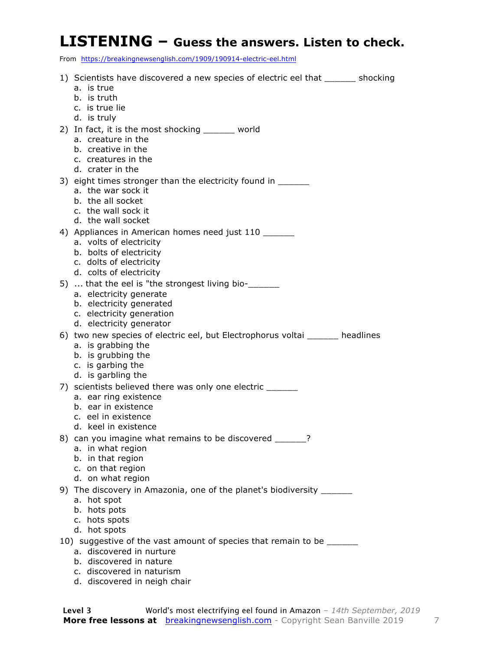### **LISTENING – Guess the answers. Listen to check.**

From https://breakingnewsenglish.com/1909/190914-electric-eel.html

| 1) Scientists have discovered a new species of electric eel that _______ shocking                   |
|-----------------------------------------------------------------------------------------------------|
| a. is true                                                                                          |
| b. is truth                                                                                         |
| c. is true lie<br>d. is truly                                                                       |
| 2) In fact, it is the most shocking _______ world                                                   |
| a. creature in the                                                                                  |
| b. creative in the                                                                                  |
| c. creatures in the                                                                                 |
| d. crater in the                                                                                    |
| 3) eight times stronger than the electricity found in ______                                        |
| a. the war sock it<br>b. the all socket                                                             |
| c. the wall sock it                                                                                 |
| d. the wall socket                                                                                  |
| 4) Appliances in American homes need just 110                                                       |
| a. volts of electricity                                                                             |
| b. bolts of electricity                                                                             |
| c. dolts of electricity<br>d. colts of electricity                                                  |
| 5)  that the eel is "the strongest living bio-                                                      |
| a. electricity generate                                                                             |
| b. electricity generated                                                                            |
| c. electricity generation                                                                           |
| d. electricity generator                                                                            |
| 6) two new species of electric eel, but Electrophorus voltai ______ headlines<br>a. is grabbing the |
| b. is grubbing the                                                                                  |
| c. is garbing the                                                                                   |
| d. is garbling the                                                                                  |
| 7) scientists believed there was only one electric ______                                           |
| a. ear ring existence                                                                               |
| b. ear in existence<br>c. eel in existence                                                          |
| d. keel in existence                                                                                |
| 8) can you imagine what remains to be discovered ______?                                            |
| a. in what region                                                                                   |
| b. in that region                                                                                   |
| c. on that region                                                                                   |
| d. on what region                                                                                   |
| 9) The discovery in Amazonia, one of the planet's biodiversity ______<br>a. hot spot                |
| b. hots pots                                                                                        |
| c. hots spots                                                                                       |
| d. hot spots                                                                                        |
|                                                                                                     |
| 10) suggestive of the vast amount of species that remain to be ______                               |
| a. discovered in nurture<br>b. discovered in nature                                                 |

d. discovered in neigh chair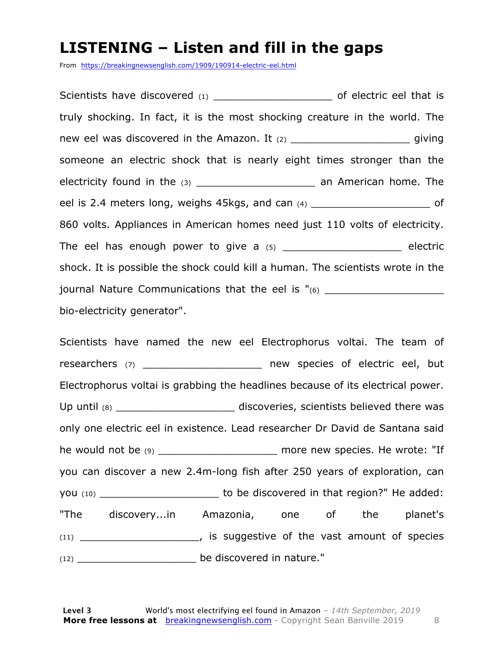### **LISTENING – Listen and fill in the gaps**

From https://breakingnewsenglish.com/1909/190914-electric-eel.html

Scientists have discovered (1) \_\_\_\_\_\_\_\_\_\_\_\_\_\_\_\_\_\_\_\_\_\_\_\_\_ of electric eel that is truly shocking. In fact, it is the most shocking creature in the world. The new eel was discovered in the Amazon. It  $(2)$  \_\_\_\_\_\_\_\_\_\_\_\_\_\_\_\_\_\_\_\_\_\_\_\_\_\_\_ giving someone an electric shock that is nearly eight times stronger than the electricity found in the (3) \_\_\_\_\_\_\_\_\_\_\_\_\_\_\_\_\_\_\_\_\_\_\_\_ an American home. The eel is 2.4 meters long, weighs 45kgs, and can  $(4)$  del is 2.4 meters long, weighs 45kgs, and can  $(4)$ 860 volts. Appliances in American homes need just 110 volts of electricity. The eel has enough power to give a  $(5)$  \_\_\_\_\_\_\_\_\_\_\_\_\_\_\_\_\_\_\_\_\_\_\_ electric shock. It is possible the shock could kill a human. The scientists wrote in the journal Nature Communications that the eel is "(6) bio-electricity generator".

Scientists have named the new eel Electrophorus voltai. The team of researchers (7) \_\_\_\_\_\_\_\_\_\_\_\_\_\_\_\_\_\_\_\_\_\_\_ new species of electric eel, but Electrophorus voltai is grabbing the headlines because of its electrical power. Up until (8) \_\_\_\_\_\_\_\_\_\_\_\_\_\_\_\_\_\_\_\_\_\_\_\_\_\_\_\_\_ discoveries, scientists believed there was only one electric eel in existence. Lead researcher Dr David de Santana said he would not be (9) \_\_\_\_\_\_\_\_\_\_\_\_\_\_\_\_\_\_\_\_\_\_\_\_ more new species. He wrote: "If you can discover a new 2.4m-long fish after 250 years of exploration, can you (10) \_\_\_\_\_\_\_\_\_\_\_\_\_\_\_\_\_\_\_\_\_\_\_\_\_\_ to be discovered in that region?" He added: "The discovery...in Amazonia, one of the planet's (11) \_\_\_\_\_\_\_\_\_\_\_\_\_\_\_\_\_\_\_, is suggestive of the vast amount of species (12) \_\_\_\_\_\_\_\_\_\_\_\_\_\_\_\_\_\_\_ be discovered in nature."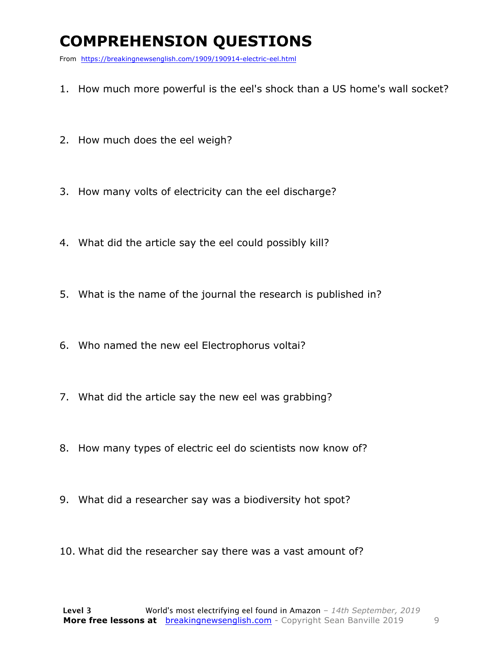## **COMPREHENSION QUESTIONS**

From https://breakingnewsenglish.com/1909/190914-electric-eel.html

- 1. How much more powerful is the eel's shock than a US home's wall socket?
- 2. How much does the eel weigh?
- 3. How many volts of electricity can the eel discharge?
- 4. What did the article say the eel could possibly kill?
- 5. What is the name of the journal the research is published in?
- 6. Who named the new eel Electrophorus voltai?
- 7. What did the article say the new eel was grabbing?
- 8. How many types of electric eel do scientists now know of?
- 9. What did a researcher say was a biodiversity hot spot?
- 10. What did the researcher say there was a vast amount of?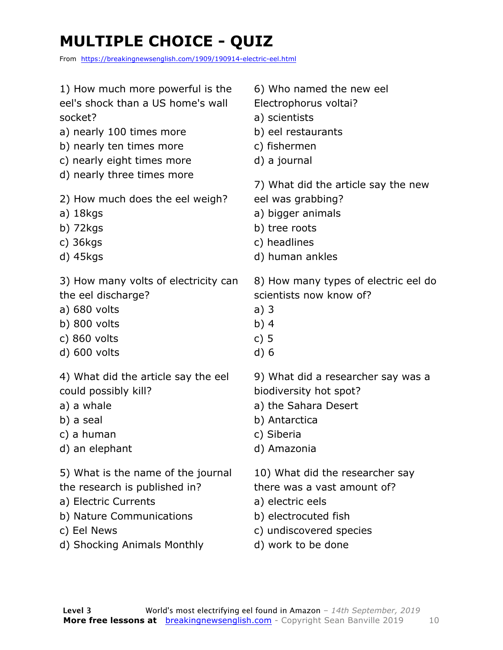## **MULTIPLE CHOICE - QUIZ**

From https://breakingnewsenglish.com/1909/190914-electric-eel.html

| 1) How much more powerful is the     | 6) Who named the new eel             |
|--------------------------------------|--------------------------------------|
| eel's shock than a US home's wall    | Electrophorus voltai?                |
| socket?                              | a) scientists                        |
| a) nearly 100 times more             | b) eel restaurants                   |
| b) nearly ten times more             | c) fishermen                         |
| c) nearly eight times more           | d) a journal                         |
| d) nearly three times more           | 7) What did the article say the new  |
| 2) How much does the eel weigh?      | eel was grabbing?                    |
| a) 18kgs                             | a) bigger animals                    |
| b) $72kgs$                           | b) tree roots                        |
| c) $36kgs$                           | c) headlines                         |
| d) 45kgs                             | d) human ankles                      |
| 3) How many volts of electricity can | 8) How many types of electric eel do |
| the eel discharge?                   | scientists now know of?              |
| a) 680 volts                         | a)3                                  |
| $b)$ 800 volts                       | b) $4$                               |
| c) 860 volts                         | c) $5$                               |
| d) 600 volts                         | d)6                                  |
| 4) What did the article say the eel  | 9) What did a researcher say was a   |
| could possibly kill?                 | biodiversity hot spot?               |
| a) a whale                           | a) the Sahara Desert                 |
| b) a seal                            | b) Antarctica                        |
| c) a human                           | c) Siberia                           |
| d) an elephant                       | d) Amazonia                          |
| 5) What is the name of the journal   | 10) What did the researcher say      |
| the research is published in?        | there was a vast amount of?          |
| a) Electric Currents                 | a) electric eels                     |
| b) Nature Communications             | b) electrocuted fish                 |
| c) Eel News                          | c) undiscovered species              |
| d) Shocking Animals Monthly          | d) work to be done                   |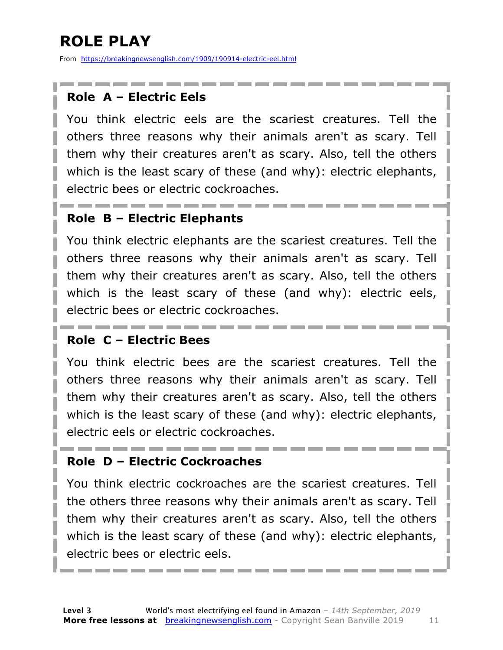## **ROLE PLAY**

From https://breakingnewsenglish.com/1909/190914-electric-eel.html

### **Role A – Electric Eels**

You think electric eels are the scariest creatures. Tell the others three reasons why their animals aren't as scary. Tell them why their creatures aren't as scary. Also, tell the others which is the least scary of these (and why): electric elephants, electric bees or electric cockroaches.

### **Role B – Electric Elephants**

You think electric elephants are the scariest creatures. Tell the others three reasons why their animals aren't as scary. Tell them why their creatures aren't as scary. Also, tell the others which is the least scary of these (and why): electric eels, electric bees or electric cockroaches.

### **Role C – Electric Bees**

You think electric bees are the scariest creatures. Tell the others three reasons why their animals aren't as scary. Tell them why their creatures aren't as scary. Also, tell the others which is the least scary of these (and why): electric elephants, electric eels or electric cockroaches.

### **Role D – Electric Cockroaches**

You think electric cockroaches are the scariest creatures. Tell the others three reasons why their animals aren't as scary. Tell them why their creatures aren't as scary. Also, tell the others which is the least scary of these (and why): electric elephants, electric bees or electric eels.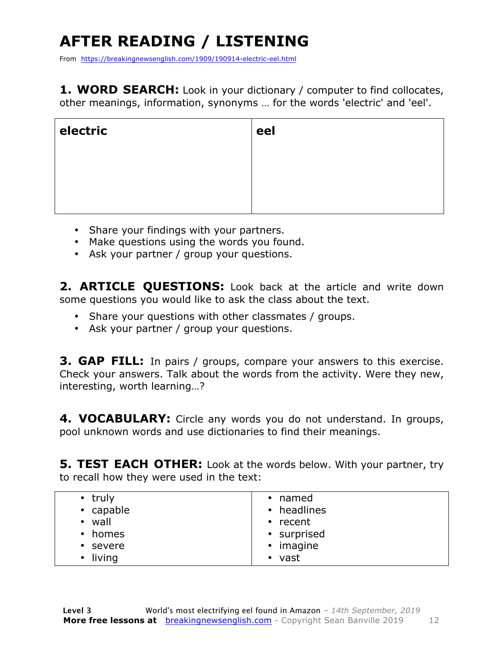## **AFTER READING / LISTENING**

From https://breakingnewsenglish.com/1909/190914-electric-eel.html

**1. WORD SEARCH:** Look in your dictionary / computer to find collocates, other meanings, information, synonyms … for the words 'electric' and 'eel'.

| electric | eel |
|----------|-----|
|          |     |
|          |     |
|          |     |

- Share your findings with your partners.
- Make questions using the words you found.
- Ask your partner / group your questions.

2. **ARTICLE OUESTIONS:** Look back at the article and write down some questions you would like to ask the class about the text.

- Share your questions with other classmates / groups.
- Ask your partner / group your questions.

**3. GAP FILL:** In pairs / groups, compare your answers to this exercise. Check your answers. Talk about the words from the activity. Were they new, interesting, worth learning…?

**4. VOCABULARY:** Circle any words you do not understand. In groups, pool unknown words and use dictionaries to find their meanings.

**5. TEST EACH OTHER:** Look at the words below. With your partner, try to recall how they were used in the text:

|  | $\cdot$ truly<br>• capable<br>wall<br>$\bullet$<br>• homes<br>• severe<br>living<br>٠ | • named<br>• headlines<br>$\cdot$ recent<br>• surprised<br>• imagine<br>• vast |
|--|---------------------------------------------------------------------------------------|--------------------------------------------------------------------------------|
|--|---------------------------------------------------------------------------------------|--------------------------------------------------------------------------------|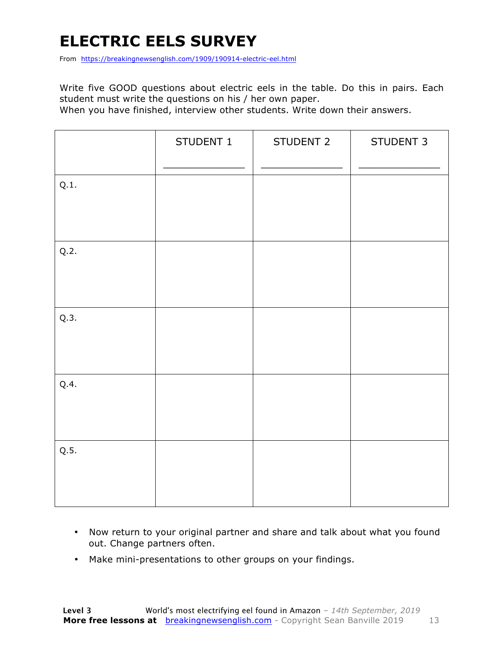## **ELECTRIC EELS SURVEY**

From https://breakingnewsenglish.com/1909/190914-electric-eel.html

Write five GOOD questions about electric eels in the table. Do this in pairs. Each student must write the questions on his / her own paper.

When you have finished, interview other students. Write down their answers.

|      | STUDENT 1 | STUDENT 2 | STUDENT 3 |
|------|-----------|-----------|-----------|
| Q.1. |           |           |           |
| Q.2. |           |           |           |
| Q.3. |           |           |           |
| Q.4. |           |           |           |
| Q.5. |           |           |           |

- Now return to your original partner and share and talk about what you found out. Change partners often.
- Make mini-presentations to other groups on your findings.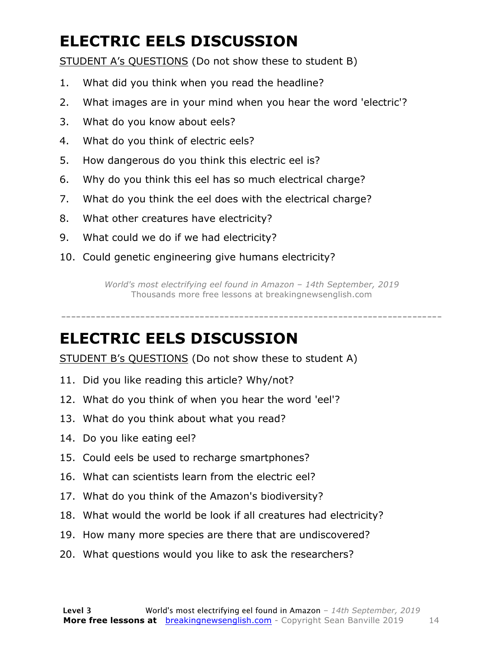## **ELECTRIC EELS DISCUSSION**

STUDENT A's QUESTIONS (Do not show these to student B)

- 1. What did you think when you read the headline?
- 2. What images are in your mind when you hear the word 'electric'?
- 3. What do you know about eels?
- 4. What do you think of electric eels?
- 5. How dangerous do you think this electric eel is?
- 6. Why do you think this eel has so much electrical charge?
- 7. What do you think the eel does with the electrical charge?
- 8. What other creatures have electricity?
- 9. What could we do if we had electricity?
- 10. Could genetic engineering give humans electricity?

*World's most electrifying eel found in Amazon – 14th September, 2019* Thousands more free lessons at breakingnewsenglish.com

-----------------------------------------------------------------------------

### **ELECTRIC EELS DISCUSSION**

STUDENT B's QUESTIONS (Do not show these to student A)

- 11. Did you like reading this article? Why/not?
- 12. What do you think of when you hear the word 'eel'?
- 13. What do you think about what you read?
- 14. Do you like eating eel?
- 15. Could eels be used to recharge smartphones?
- 16. What can scientists learn from the electric eel?
- 17. What do you think of the Amazon's biodiversity?
- 18. What would the world be look if all creatures had electricity?
- 19. How many more species are there that are undiscovered?
- 20. What questions would you like to ask the researchers?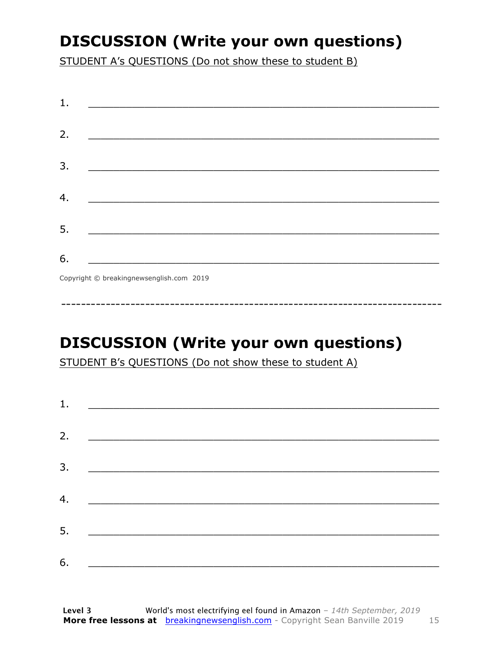## **DISCUSSION (Write your own questions)**

STUDENT A's QUESTIONS (Do not show these to student B)

| 1. |                                          |
|----|------------------------------------------|
|    |                                          |
| 2. |                                          |
|    |                                          |
| 3. |                                          |
|    |                                          |
| 4. |                                          |
|    |                                          |
| 5. |                                          |
|    |                                          |
| 6. |                                          |
|    |                                          |
|    | Copyright © breakingnewsenglish.com 2019 |

**DISCUSSION (Write your own questions)** 

STUDENT B's QUESTIONS (Do not show these to student A)

| 1. |                                                                                                                         |  |  |
|----|-------------------------------------------------------------------------------------------------------------------------|--|--|
|    |                                                                                                                         |  |  |
| 2. |                                                                                                                         |  |  |
| 3. |                                                                                                                         |  |  |
|    |                                                                                                                         |  |  |
| 4. | <u> 1989 - Andrea Station, amerikansk politik (</u>                                                                     |  |  |
| 5. | <u> 1986 - Johann Stoff, deutscher Stoffen und der Stoffen und der Stoffen und der Stoffen und der Stoffen und der </u> |  |  |
| 6. | <u> 1989 - Andrea Albert III, politik a postal de la provincia de la provincia de la provincia de la provincia d</u>    |  |  |
|    |                                                                                                                         |  |  |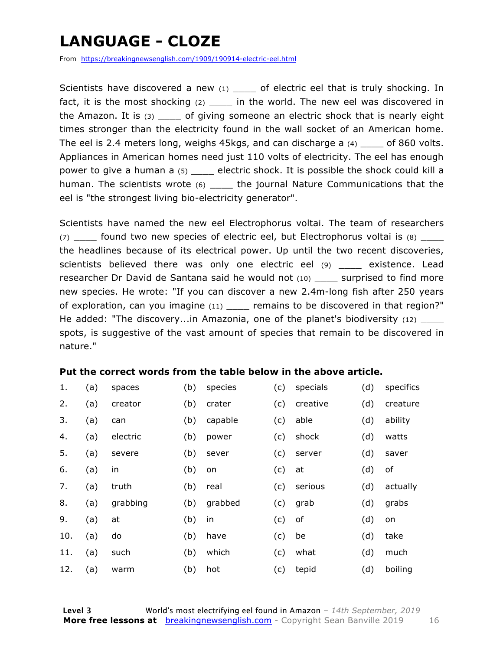## **LANGUAGE - CLOZE**

From https://breakingnewsenglish.com/1909/190914-electric-eel.html

Scientists have discovered a new  $(1)$  of electric eel that is truly shocking. In fact, it is the most shocking  $(2)$  \_\_\_\_ in the world. The new eel was discovered in the Amazon. It is  $(3)$  of giving someone an electric shock that is nearly eight times stronger than the electricity found in the wall socket of an American home. The eel is 2.4 meters long, weighs 45kgs, and can discharge a (4) \_\_\_\_ of 860 volts. Appliances in American homes need just 110 volts of electricity. The eel has enough power to give a human a (5) \_\_\_\_ electric shock. It is possible the shock could kill a human. The scientists wrote (6) \_\_\_\_\_ the journal Nature Communications that the eel is "the strongest living bio-electricity generator".

Scientists have named the new eel Electrophorus voltai. The team of researchers (7) found two new species of electric eel, but Electrophorus voltai is (8) the headlines because of its electrical power. Up until the two recent discoveries, scientists believed there was only one electric eel (9) \_\_\_\_ existence. Lead researcher Dr David de Santana said he would not (10) \_\_\_\_ surprised to find more new species. He wrote: "If you can discover a new 2.4m-long fish after 250 years of exploration, can you imagine (11) \_\_\_\_ remains to be discovered in that region?" He added: "The discovery...in Amazonia, one of the planet's biodiversity (12) spots, is suggestive of the vast amount of species that remain to be discovered in nature."

### **Put the correct words from the table below in the above article.**

| 1.  | (a) | spaces   | (b) | species | (c) | specials | (d) | specifics |
|-----|-----|----------|-----|---------|-----|----------|-----|-----------|
| 2.  | (a) | creator  | (b) | crater  | (c) | creative | (d) | creature  |
| 3.  | (a) | can      | (b) | capable | (c) | able     | (d) | ability   |
| 4.  | (a) | electric | (b) | power   | (c) | shock    | (d) | watts     |
| 5.  | (a) | severe   | (b) | sever   | (c) | server   | (d) | saver     |
| 6.  | (a) | in       | (b) | on      | (c) | at       | (d) | οf        |
| 7.  | (a) | truth    | (b) | real    | (c) | serious  | (d) | actually  |
| 8.  | (a) | grabbing | (b) | grabbed | (c) | grab     | (d) | grabs     |
| 9.  | (a) | at       | (b) | in      | (c) | of       | (d) | on        |
| 10. | (a) | do       | (b) | have    | (c) | be       | (d) | take      |
| 11. | (a) | such     | (b) | which   | (c) | what     | (d) | much      |
| 12. | (a) | warm     | (b) | hot     | (c) | tepid    | (d) | boiling   |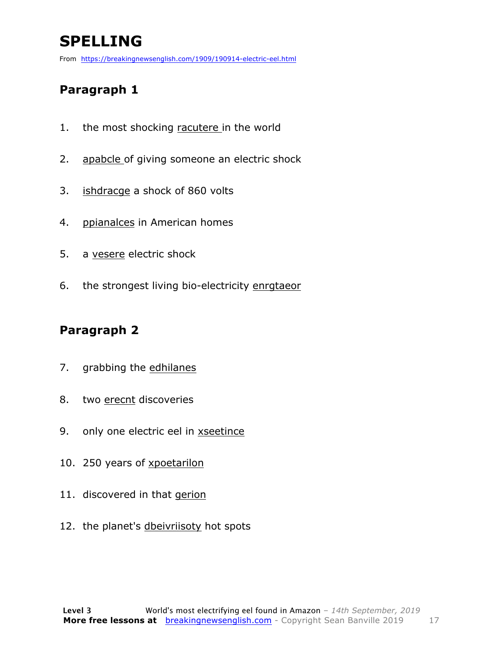## **SPELLING**

From https://breakingnewsenglish.com/1909/190914-electric-eel.html

### **Paragraph 1**

- 1. the most shocking racutere in the world
- 2. apabcle of giving someone an electric shock
- 3. ishdracge a shock of 860 volts
- 4. ppianalces in American homes
- 5. a vesere electric shock
- 6. the strongest living bio-electricity enrgtaeor

### **Paragraph 2**

- 7. grabbing the edhilanes
- 8. two erecnt discoveries
- 9. only one electric eel in xseetince
- 10. 250 years of xpoetarilon
- 11. discovered in that gerion
- 12. the planet's dbeivriisoty hot spots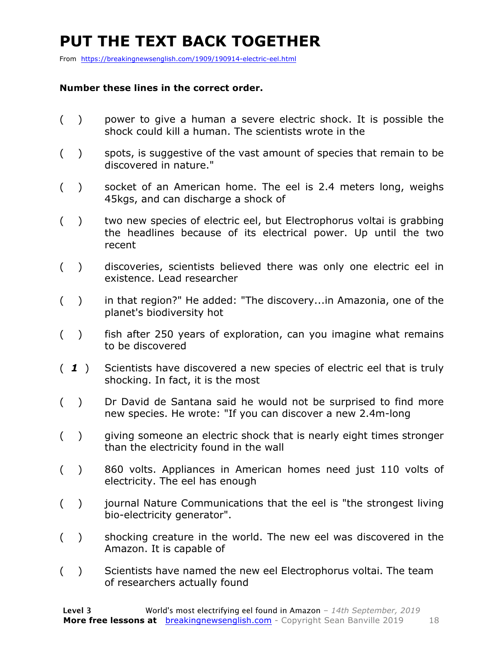## **PUT THE TEXT BACK TOGETHER**

From https://breakingnewsenglish.com/1909/190914-electric-eel.html

### **Number these lines in the correct order.**

- ( ) power to give a human a severe electric shock. It is possible the shock could kill a human. The scientists wrote in the
- ( ) spots, is suggestive of the vast amount of species that remain to be discovered in nature."
- ( ) socket of an American home. The eel is 2.4 meters long, weighs 45kgs, and can discharge a shock of
- ( ) two new species of electric eel, but Electrophorus voltai is grabbing the headlines because of its electrical power. Up until the two recent
- ( ) discoveries, scientists believed there was only one electric eel in existence. Lead researcher
- ( ) in that region?" He added: "The discovery...in Amazonia, one of the planet's biodiversity hot
- ( ) fish after 250 years of exploration, can you imagine what remains to be discovered
- ( *1* ) Scientists have discovered a new species of electric eel that is truly shocking. In fact, it is the most
- ( ) Dr David de Santana said he would not be surprised to find more new species. He wrote: "If you can discover a new 2.4m-long
- ( ) giving someone an electric shock that is nearly eight times stronger than the electricity found in the wall
- ( ) 860 volts. Appliances in American homes need just 110 volts of electricity. The eel has enough
- () journal Nature Communications that the eel is "the strongest living bio-electricity generator".
- ( ) shocking creature in the world. The new eel was discovered in the Amazon. It is capable of
- ( ) Scientists have named the new eel Electrophorus voltai. The team of researchers actually found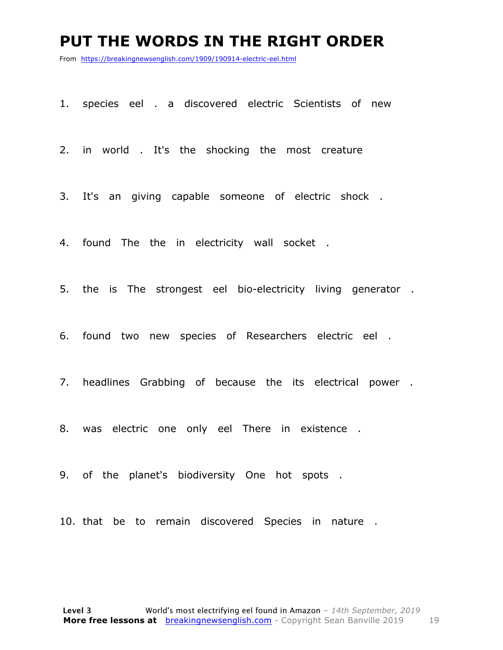### **PUT THE WORDS IN THE RIGHT ORDER**

From https://breakingnewsenglish.com/1909/190914-electric-eel.html

1. species eel . a discovered electric Scientists of new

2. in world . It's the shocking the most creature

3. It's an giving capable someone of electric shock .

4. found The the in electricity wall socket .

5. the is The strongest eel bio-electricity living generator .

6. found two new species of Researchers electric eel .

7. headlines Grabbing of because the its electrical power .

8. was electric one only eel There in existence .

9. of the planet's biodiversity One hot spots .

10. that be to remain discovered Species in nature .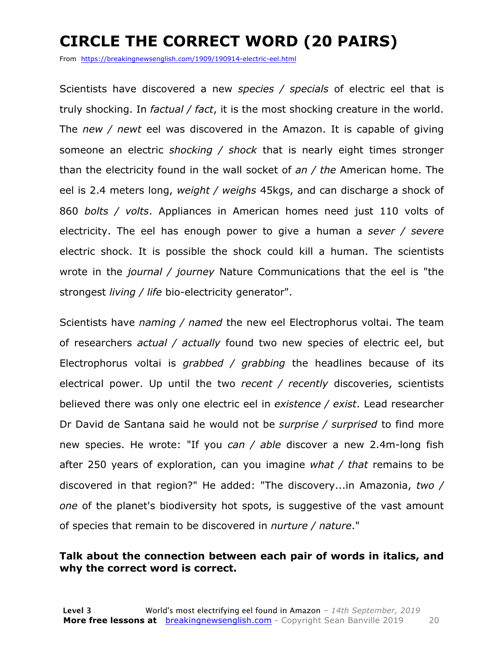## **CIRCLE THE CORRECT WORD (20 PAIRS)**

From https://breakingnewsenglish.com/1909/190914-electric-eel.html

Scientists have discovered a new *species / specials* of electric eel that is truly shocking. In *factual / fact*, it is the most shocking creature in the world. The *new / newt* eel was discovered in the Amazon. It is capable of giving someone an electric *shocking / shock* that is nearly eight times stronger than the electricity found in the wall socket of *an / the* American home. The eel is 2.4 meters long, *weight / weighs* 45kgs, and can discharge a shock of 860 *bolts / volts*. Appliances in American homes need just 110 volts of electricity. The eel has enough power to give a human a *sever / severe* electric shock. It is possible the shock could kill a human. The scientists wrote in the *journal / journey* Nature Communications that the eel is "the strongest *living / life* bio-electricity generator".

Scientists have *naming / named* the new eel Electrophorus voltai. The team of researchers *actual / actually* found two new species of electric eel, but Electrophorus voltai is *grabbed / grabbing* the headlines because of its electrical power. Up until the two *recent / recently* discoveries, scientists believed there was only one electric eel in *existence / exist*. Lead researcher Dr David de Santana said he would not be *surprise / surprised* to find more new species. He wrote: "If you *can / able* discover a new 2.4m-long fish after 250 years of exploration, can you imagine *what / that* remains to be discovered in that region?" He added: "The discovery...in Amazonia, *two / one* of the planet's biodiversity hot spots, is suggestive of the vast amount of species that remain to be discovered in *nurture / nature*."

### **Talk about the connection between each pair of words in italics, and why the correct word is correct.**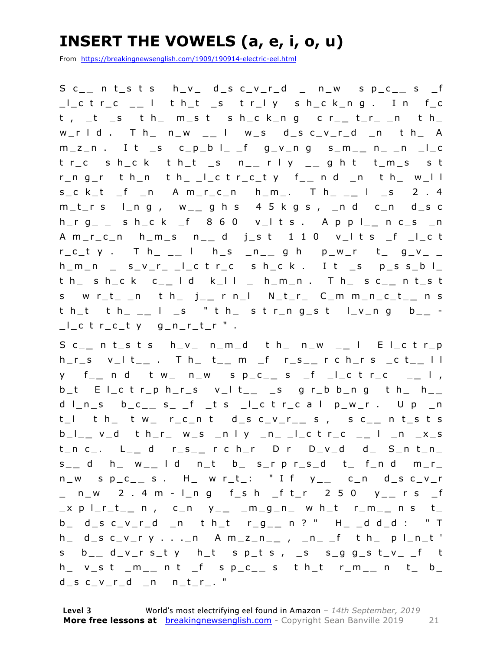## **INSERT THE VOWELS (a, e, i, o, u)**

From https://breakingnewsenglish.com/1909/190914-electric-eel.html

S c\_ **\_** n t\_s t s h\_v\_ d\_s c\_v\_r\_d \_ n\_w s p\_c\_ **\_** s \_f \_l\_c t r\_c \_ **\_** l t h\_t \_s t r\_l y s h\_c k\_n g . I n f\_c t , \_t \_s t h\_ m\_s t s h\_c k\_n g c r\_ **\_** t\_r\_ \_n t h\_ w\_r l d . T h\_ n\_w \_ **\_** l w\_s d\_s c\_v\_r\_d \_n t h\_ A m\_z\_n . I t \_s c\_p\_b l\_ \_f g\_v\_n g s\_m\_ **\_** n\_ \_n \_l\_c t r\_c s h\_c k t h\_t \_s n\_ **\_** r l y \_ **\_** g h t t\_m\_s s t r\_n g\_r t h\_n t h\_ \_l\_c t r\_c\_t y f\_ **\_** n d \_n t h\_ w\_l l s\_c k\_t \_f \_n A m\_r\_c\_n h\_m\_. T h\_ \_ **\_** l \_s 2 . 4 m\_t\_r s l\_n g , w\_ **\_** g h s 4 5 k g s , \_n d c\_n d\_s c h\_r g\_ \_ s h\_c k \_f 8 6 0 v\_l t s . A p p l\_ **\_** n c\_s \_n A m\_r\_c\_n h\_m\_s n\_ **\_** d j\_s t 1 1 0 v\_l t s \_f \_l\_c t r\_c\_t y . T h\_ \_ **\_** l h\_s \_n\_ **\_** g h p\_w\_r t\_ g\_v\_ \_  $h_{m,n}$  \_ s\_v\_r\_ \_l\_c t r\_c s h\_c k . I t \_s p\_s s\_b l\_ t h\_ s h\_c k c\_ **\_** l d k\_l l \_ h\_m\_n . T h\_ s c\_ **\_** n t\_s t s w r\_t\_ \_n t h\_ j\_ **\_** r n\_l N\_t\_r\_ C\_m m\_n\_c\_t\_ **\_** n s t h\_t t h\_ \_ **\_** l \_s " t h\_ s t r\_n g\_s t l\_v\_n g b\_ **\_** -  $\lfloor$   $\lfloor$   $\lfloor$   $\lfloor$   $\lfloor$   $\lfloor$   $\lfloor$   $\lfloor$   $\lfloor$   $\lfloor$   $\lfloor$   $\lfloor$   $\lfloor$   $\lfloor$   $\lfloor$   $\lfloor$   $\lfloor$   $\lfloor$   $\lfloor$   $\lfloor$   $\lfloor$   $\lfloor$   $\lfloor$   $\lfloor$   $\lfloor$   $\lfloor$   $\lfloor$   $\lfloor$   $\lfloor$   $\lfloor$   $\lfloor$   $\lfloor$   $\lfloor$   $\lfloor$   $\lfloor$   $\lfloor$   $\lfloor$ 

S c\_ **\_** n t\_s t s h\_v\_ n\_m\_d t h\_ n\_w \_ **\_** l E l\_c t r\_p h\_r\_s v\_l t\_ **\_** . T h\_ t\_ **\_** m \_f r\_s\_ **\_** r c h\_r s \_c t\_ **\_** l l y f\_ **\_** n d t w\_ n\_w s p\_c\_ **\_** s \_f \_l\_c t r\_c \_ **\_** l , b\_t E l\_c t r\_p h\_r\_s v\_l t\_ **\_** \_s g r\_b b\_n g t h\_ h\_ **\_**  d l\_n\_s b\_c\_ **\_** s\_ \_f \_t s \_l\_c t r\_c a l p\_w\_r . U p \_n t\_l t h\_ t w\_ r\_c\_n t d\_s c\_v\_r\_ **\_** s , s c\_ **\_** n t\_s t s b\_l\_ **\_** v\_d t h\_r\_ w\_s \_n l y \_n\_ \_l\_c t r\_c \_ **\_** l \_n \_x\_s t\_n c\_. L\_ **\_** d r\_s\_ **\_** r c h\_r D r D\_v\_d d\_ S\_n t\_n\_ s \_ **\_** d h\_ w\_ **\_** l d n\_t b\_ s\_r p r\_s\_d t\_ f\_n d m\_r\_ n\_w s p\_c\_ **\_** s . H\_ w r\_t\_: " I f y\_ **\_** c\_n d\_s c\_v\_r \_ n\_w 2 . 4 m - l\_n g f\_s h \_f t\_r 2 5 0 y\_ **\_** r s \_f \_x p l\_r\_t\_ **\_** n , c\_n y\_ **\_** \_m\_g\_n\_ w h\_t r\_m\_ **\_** n s t\_ b\_ d\_s c\_v\_r\_d \_n t h\_t r\_g\_ **\_** n ? " H\_ \_d d\_d : " T h\_ d\_s c\_v\_r y . . .\_n A m\_z\_n\_ **\_** , \_n\_ \_f t h\_ p l\_n\_t ' s b\_ **\_** d\_v\_r s\_t y h\_t s p\_t s , \_s s\_g g\_s t\_v\_ \_f t h\_ v\_s t \_m\_ **\_** n t \_f s p\_c\_ **\_** s t h\_t r\_m\_ **\_** n t\_ b\_  $d$ <sub>\_</sub>s c\_v\_r\_d \_n n\_t\_r\_. "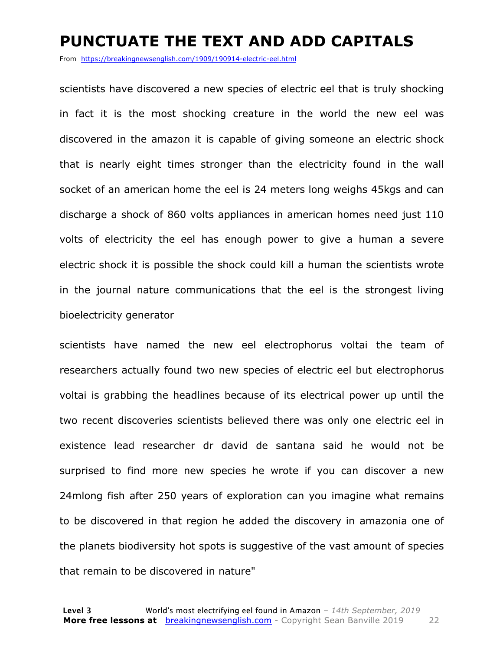### **PUNCTUATE THE TEXT AND ADD CAPITALS**

From https://breakingnewsenglish.com/1909/190914-electric-eel.html

scientists have discovered a new species of electric eel that is truly shocking in fact it is the most shocking creature in the world the new eel was discovered in the amazon it is capable of giving someone an electric shock that is nearly eight times stronger than the electricity found in the wall socket of an american home the eel is 24 meters long weighs 45kgs and can discharge a shock of 860 volts appliances in american homes need just 110 volts of electricity the eel has enough power to give a human a severe electric shock it is possible the shock could kill a human the scientists wrote in the journal nature communications that the eel is the strongest living bioelectricity generator

scientists have named the new eel electrophorus voltai the team of researchers actually found two new species of electric eel but electrophorus voltai is grabbing the headlines because of its electrical power up until the two recent discoveries scientists believed there was only one electric eel in existence lead researcher dr david de santana said he would not be surprised to find more new species he wrote if you can discover a new 24mlong fish after 250 years of exploration can you imagine what remains to be discovered in that region he added the discovery in amazonia one of the planets biodiversity hot spots is suggestive of the vast amount of species that remain to be discovered in nature"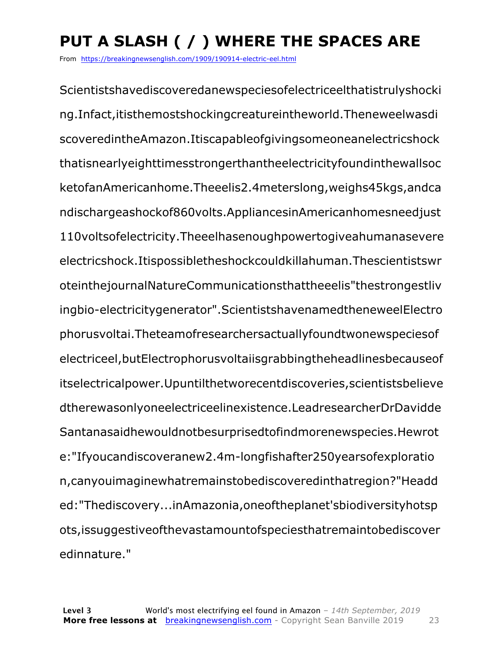## **PUT A SLASH ( / ) WHERE THE SPACES ARE**

From https://breakingnewsenglish.com/1909/190914-electric-eel.html

Scientistshavediscoveredanewspeciesofelectriceelthatistrulyshocki ng.Infact,itisthemostshockingcreatureintheworld.Theneweelwasdi scoveredintheAmazon.Itiscapableofgivingsomeoneanelectricshock thatisnearlyeighttimesstrongerthantheelectricityfoundinthewallsoc ketofanAmericanhome.Theeelis2.4meterslong,weighs45kgs,andca ndischargeashockof860volts.AppliancesinAmericanhomesneedjust 110voltsofelectricity.Theeelhasenoughpowertogiveahumanasevere electricshock.Itispossibletheshockcouldkillahuman.Thescientistswr oteinthejournalNatureCommunicationsthattheeelis"thestrongestliv ingbio-electricitygenerator".ScientistshavenamedtheneweelElectro phorusvoltai.Theteamofresearchersactuallyfoundtwonewspeciesof electriceel,butElectrophorusvoltaiisgrabbingtheheadlinesbecauseof itselectricalpower.Upuntilthetworecentdiscoveries,scientistsbelieve dtherewasonlyoneelectriceelinexistence.LeadresearcherDrDavidde Santanasaidhewouldnotbesurprisedtofindmorenewspecies.Hewrot e:"Ifyoucandiscoveranew2.4m-longfishafter250yearsofexploratio n,canyouimaginewhatremainstobediscoveredinthatregion?"Headd ed:"Thediscovery...inAmazonia,oneoftheplanet'sbiodiversityhotsp ots,issuggestiveofthevastamountofspeciesthatremaintobediscover edinnature."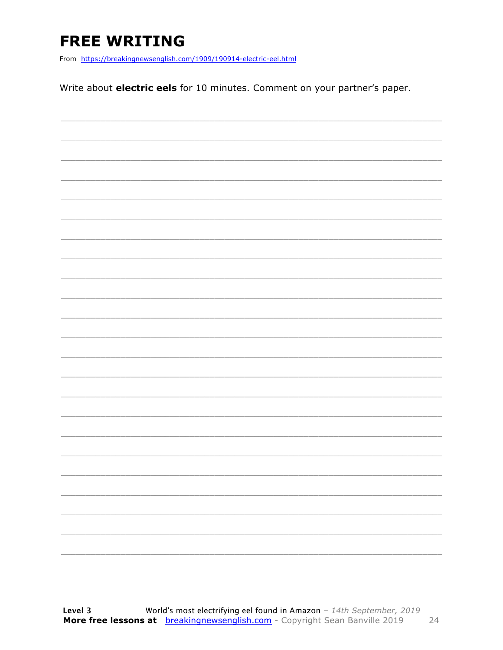## **FREE WRITING**

From https://breakingnewsenglish.com/1909/190914-electric-eel.html

Write about electric eels for 10 minutes. Comment on your partner's paper.

|  | -                        |
|--|--------------------------|
|  |                          |
|  | $\overline{\phantom{0}}$ |
|  |                          |
|  |                          |
|  |                          |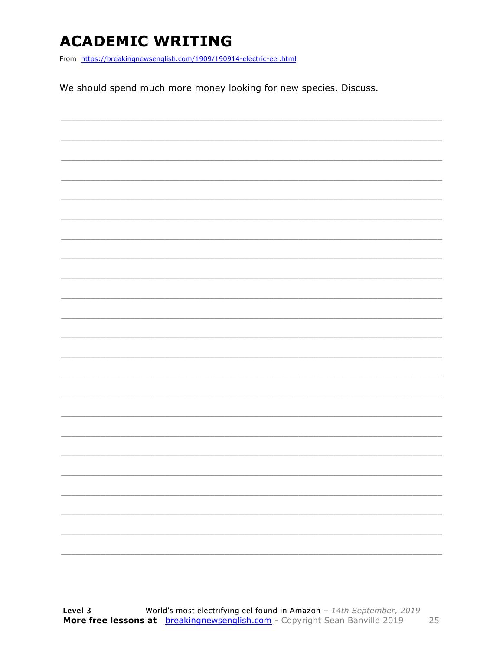## **ACADEMIC WRITING**

From https://breakingnewsenglish.com/1909/190914-electric-eel.html

We should spend much more money looking for new species. Discuss.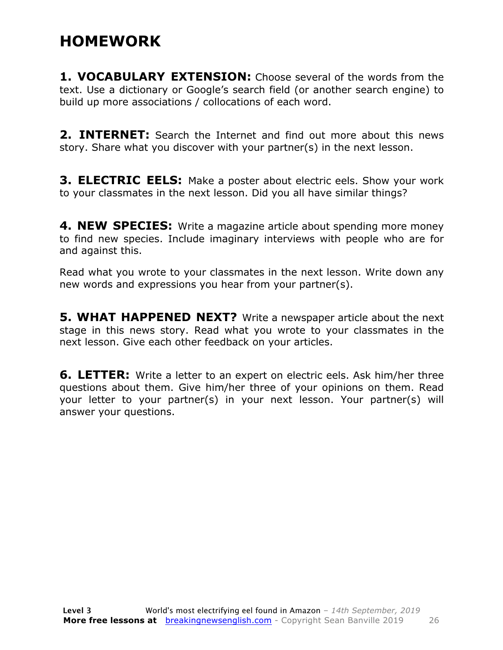### **HOMEWORK**

**1. VOCABULARY EXTENSION:** Choose several of the words from the text. Use a dictionary or Google's search field (or another search engine) to build up more associations / collocations of each word.

**2. INTERNET:** Search the Internet and find out more about this news story. Share what you discover with your partner(s) in the next lesson.

**3. ELECTRIC EELS:** Make a poster about electric eels. Show your work to your classmates in the next lesson. Did you all have similar things?

**4. NEW SPECIES:** Write a magazine article about spending more money to find new species. Include imaginary interviews with people who are for and against this.

Read what you wrote to your classmates in the next lesson. Write down any new words and expressions you hear from your partner(s).

**5. WHAT HAPPENED NEXT?** Write a newspaper article about the next stage in this news story. Read what you wrote to your classmates in the next lesson. Give each other feedback on your articles.

**6. LETTER:** Write a letter to an expert on electric eels. Ask him/her three questions about them. Give him/her three of your opinions on them. Read your letter to your partner(s) in your next lesson. Your partner(s) will answer your questions.